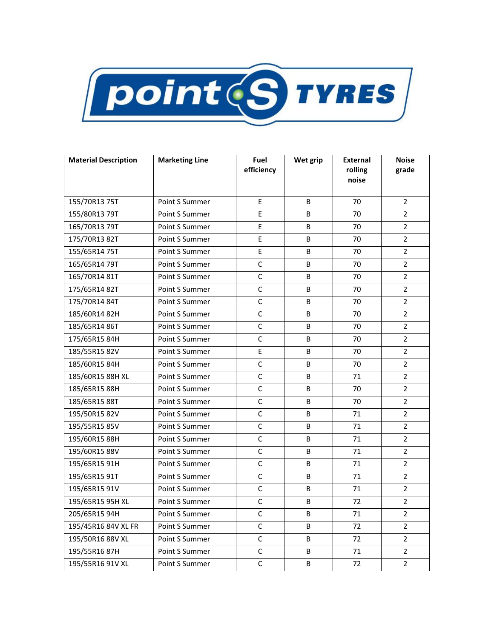

| <b>Material Description</b> | <b>Marketing Line</b> | Fuel<br>efficiency | Wet grip | <b>External</b><br>rolling<br>noise | <b>Noise</b><br>grade |
|-----------------------------|-----------------------|--------------------|----------|-------------------------------------|-----------------------|
| 155/70R13 75T               | Point S Summer        | E                  | B        | 70                                  | $\overline{2}$        |
| 155/80R13 79T               | Point S Summer        | E                  | B        | 70                                  | $\overline{2}$        |
| 165/70R13 79T               | Point S Summer        | E                  | B        | 70                                  | $\overline{2}$        |
| 175/70R13 82T               | Point S Summer        | E                  | B        | 70                                  | $\overline{2}$        |
| 155/65R14 75T               | Point S Summer        | E                  | B        | 70                                  | $\overline{2}$        |
| 165/65R14 79T               | Point S Summer        | C                  | B        | 70                                  | $\overline{2}$        |
| 165/70R14 81T               | Point S Summer        | $\mathsf{C}$       | B        | 70                                  | $\overline{2}$        |
| 175/65R14 82T               | Point S Summer        | $\mathsf{C}$       | B        | 70                                  | $\overline{2}$        |
| 175/70R14 84T               | Point S Summer        | $\mathsf{C}$       | B        | 70                                  | $\overline{2}$        |
| 185/60R14 82H               | Point S Summer        | $\mathsf{C}$       | B        | 70                                  | $\overline{2}$        |
| 185/65R14 86T               | Point S Summer        | $\mathsf C$        | В        | 70                                  | $\overline{2}$        |
| 175/65R15 84H               | Point S Summer        | C                  | B        | 70                                  | 2                     |
| 185/55R15 82V               | Point S Summer        | E                  | B        | 70                                  | $\overline{2}$        |
| 185/60R15 84H               | Point S Summer        | $\mathsf C$        | B        | 70                                  | $\overline{2}$        |
| 185/60R15 88H XL            | Point S Summer        | $\mathsf C$        | B        | 71                                  | $\overline{2}$        |
| 185/65R15 88H               | Point S Summer        | $\mathsf C$        | B        | 70                                  | $\overline{2}$        |
| 185/65R15 88T               | Point S Summer        | $\mathsf{C}$       | B        | 70                                  | $\overline{2}$        |
| 195/50R15 82V               | Point S Summer        | $\mathsf{C}$       | B        | 71                                  | $\overline{2}$        |
| 195/55R15 85V               | Point S Summer        | $\mathsf{C}$       | B        | 71                                  | $\overline{2}$        |
| 195/60R15 88H               | Point S Summer        | $\mathsf C$        | B        | 71                                  | $\overline{2}$        |
| 195/60R15 88V               | Point S Summer        | $\mathsf{C}$       | B        | 71                                  | $\overline{2}$        |
| 195/65R15 91H               | Point S Summer        | C                  | B        | 71                                  | $\overline{2}$        |
| 195/65R15 91T               | Point S Summer        | $\mathsf C$        | B        | 71                                  | 2                     |
| 195/65R15 91V               | Point S Summer        | C                  | B        | 71                                  | $\overline{2}$        |
| 195/65R15 95H XL            | Point S Summer        | $\mathsf{C}$       | B        | 72                                  | $\overline{2}$        |
| 205/65R15 94H               | Point S Summer        | $\mathsf{C}$       | B        | 71                                  | $\overline{2}$        |
| 195/45R16 84V XL FR         | Point S Summer        | C                  | B        | 72                                  | $\overline{2}$        |
| 195/50R16 88V XL            | Point S Summer        | C                  | B        | 72                                  | $\mathbf{2}^{\prime}$ |
| 195/55R16 87H               | Point S Summer        | $\mathsf C$        | B        | 71                                  | $\overline{2}$        |
| 195/55R16 91V XL            | Point S Summer        | $\mathsf C$        | В        | 72                                  | $\overline{2}$        |